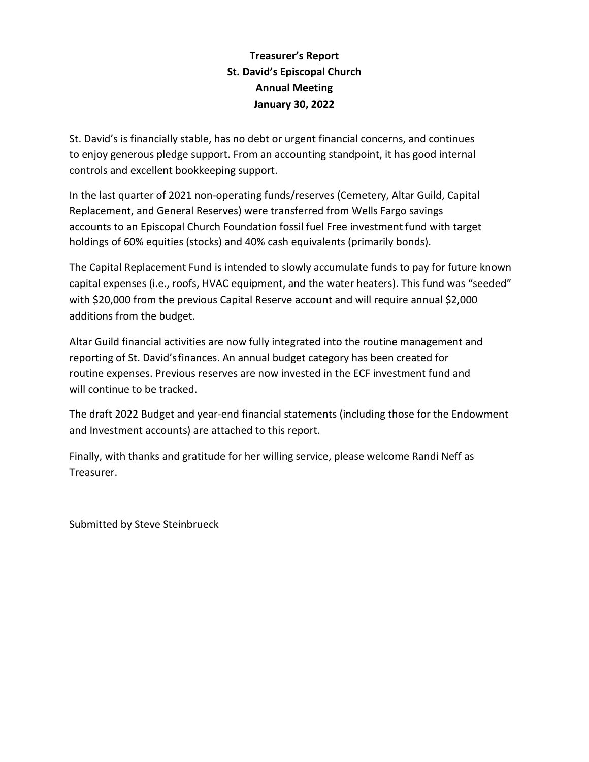# **Treasurer's Report St. David's Episcopal Church Annual Meeting January 30, 2022**

St. David's is financially stable, has no debt or urgent financial concerns, and continues to enjoy generous pledge support. From an accounting standpoint, it has good internal controls and excellent bookkeeping support.

In the last quarter of 2021 non-operating funds/reserves (Cemetery, Altar Guild, Capital Replacement, and General Reserves) were transferred from Wells Fargo savings accounts to an Episcopal Church Foundation fossil fuel Free investment fund with target holdings of 60% equities (stocks) and 40% cash equivalents (primarily bonds).

The Capital Replacement Fund is intended to slowly accumulate funds to pay for future known capital expenses (i.e., roofs, HVAC equipment, and the water heaters). This fund was "seeded" with \$20,000 from the previous Capital Reserve account and will require annual \$2,000 additions from the budget.

Altar Guild financial activities are now fully integrated into the routine management and reporting of St. David'sfinances. An annual budget category has been created for routine expenses. Previous reserves are now invested in the ECF investment fund and will continue to be tracked.

The draft 2022 Budget and year-end financial statements (including those for the Endowment and Investment accounts) are attached to this report.

Finally, with thanks and gratitude for her willing service, please welcome Randi Neff as Treasurer.

Submitted by Steve Steinbrueck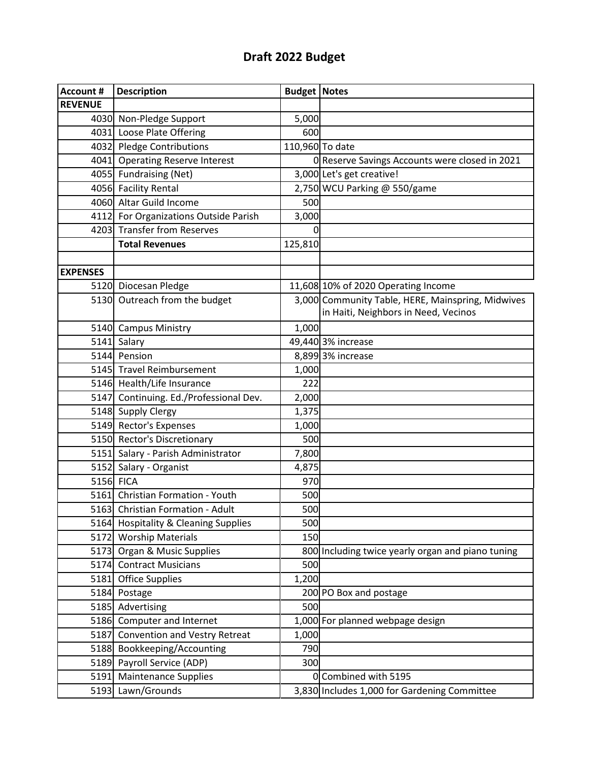# **Draft 2022 Budget**

| <b>Account #</b> | <b>Description</b>                     | <b>Budget   Notes</b> |                                                   |
|------------------|----------------------------------------|-----------------------|---------------------------------------------------|
| <b>REVENUE</b>   |                                        |                       |                                                   |
|                  | 4030 Non-Pledge Support                | 5,000                 |                                                   |
|                  | 4031 Loose Plate Offering              | 600                   |                                                   |
|                  | 4032 Pledge Contributions              |                       | 110,960 To date                                   |
|                  | 4041 Operating Reserve Interest        |                       | 0 Reserve Savings Accounts were closed in 2021    |
|                  | 4055 Fundraising (Net)                 |                       | 3,000 Let's get creative!                         |
|                  | 4056 Facility Rental                   |                       | 2,750 WCU Parking @ 550/game                      |
|                  | 4060 Altar Guild Income                | 500                   |                                                   |
|                  | 4112 For Organizations Outside Parish  | 3,000                 |                                                   |
|                  | 4203 Transfer from Reserves            | 0                     |                                                   |
|                  | <b>Total Revenues</b>                  | 125,810               |                                                   |
|                  |                                        |                       |                                                   |
| <b>EXPENSES</b>  |                                        |                       |                                                   |
|                  | 5120 Diocesan Pledge                   |                       | 11,608 10% of 2020 Operating Income               |
|                  | 5130 Outreach from the budget          |                       | 3,000 Community Table, HERE, Mainspring, Midwives |
|                  |                                        |                       | in Haiti, Neighbors in Need, Vecinos              |
|                  | 5140 Campus Ministry                   | 1,000                 |                                                   |
|                  | 5141 Salary                            |                       | 49,440 3% increase                                |
|                  | 5144 Pension                           |                       | 8,899 3% increase                                 |
|                  | 5145 Travel Reimbursement              | 1,000                 |                                                   |
|                  | 5146 Health/Life Insurance             | 222                   |                                                   |
|                  | 5147 Continuing. Ed./Professional Dev. | 2,000                 |                                                   |
|                  | 5148 Supply Clergy                     | 1,375                 |                                                   |
|                  | 5149 Rector's Expenses                 | 1,000                 |                                                   |
|                  | 5150 Rector's Discretionary            | 500                   |                                                   |
|                  | 5151 Salary - Parish Administrator     | 7,800                 |                                                   |
|                  | 5152 Salary - Organist                 | 4,875                 |                                                   |
|                  | 5156 FICA                              | 970                   |                                                   |
|                  | 5161 Christian Formation - Youth       | 500                   |                                                   |
|                  | 5163 Christian Formation - Adult       | 500                   |                                                   |
|                  | 5164 Hospitality & Cleaning Supplies   | 500                   |                                                   |
|                  | 5172 Worship Materials                 | 150                   |                                                   |
|                  | 5173 Organ & Music Supplies            |                       | 800 Including twice yearly organ and piano tuning |
| 5174             | <b>Contract Musicians</b>              | 500                   |                                                   |
| 5181             | <b>Office Supplies</b>                 | 1,200                 |                                                   |
|                  | 5184 Postage                           |                       | 200 PO Box and postage                            |
|                  | 5185 Advertising                       | 500                   |                                                   |
| 5186             | Computer and Internet                  |                       | 1,000 For planned webpage design                  |
| 5187             | <b>Convention and Vestry Retreat</b>   | 1,000                 |                                                   |
| 5188             | Bookkeeping/Accounting                 | 790                   |                                                   |
| 5189             | Payroll Service (ADP)                  | 300                   |                                                   |
| 5191             | <b>Maintenance Supplies</b>            |                       | 0 Combined with 5195                              |
| 5193             | Lawn/Grounds                           |                       | 3,830 Includes 1,000 for Gardening Committee      |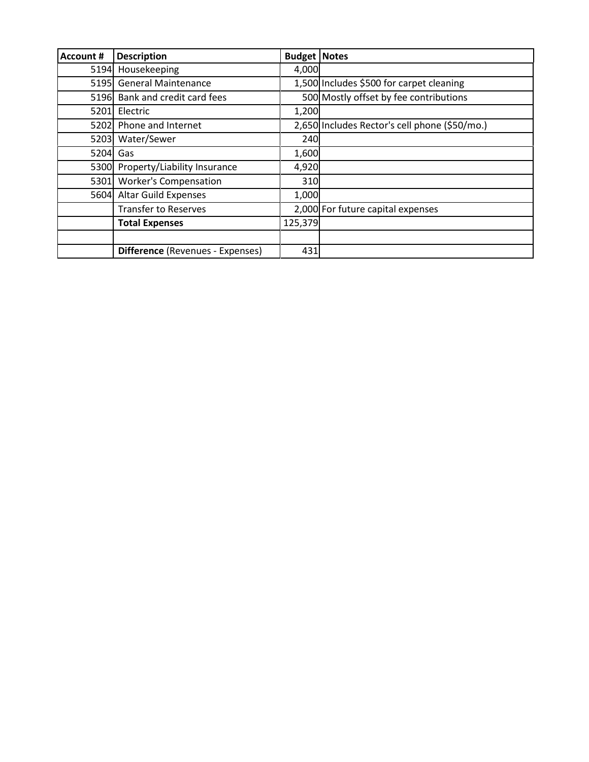| <b>Account #</b> | <b>Description</b>                      | <b>Budget   Notes</b> |                                               |
|------------------|-----------------------------------------|-----------------------|-----------------------------------------------|
|                  | 5194 Housekeeping                       | 4,000                 |                                               |
|                  | 5195 General Maintenance                |                       | 1,500 Includes \$500 for carpet cleaning      |
|                  | 5196 Bank and credit card fees          |                       | 500 Mostly offset by fee contributions        |
| 5201             | Electric                                | 1,200                 |                                               |
| 5202             | Phone and Internet                      |                       | 2,650 Includes Rector's cell phone (\$50/mo.) |
| 5203             | Water/Sewer                             | 240                   |                                               |
| 5204             | Gas                                     | 1,600                 |                                               |
|                  | 5300 Property/Liability Insurance       | 4,920                 |                                               |
| 5301             | <b>Worker's Compensation</b>            | 310                   |                                               |
|                  | 5604 Altar Guild Expenses               | 1,000                 |                                               |
|                  | <b>Transfer to Reserves</b>             |                       | 2,000 For future capital expenses             |
|                  | <b>Total Expenses</b>                   | 125,379               |                                               |
|                  |                                         |                       |                                               |
|                  | <b>Difference</b> (Revenues - Expenses) | 431                   |                                               |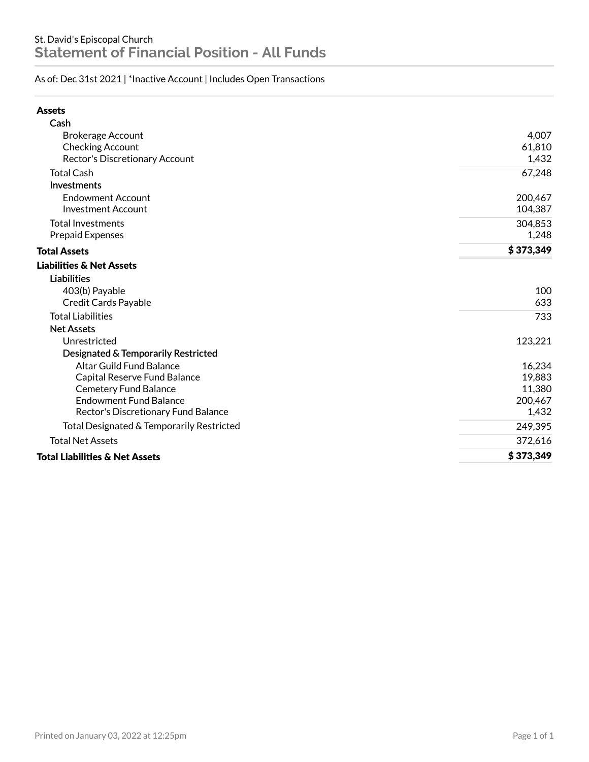## As of: Dec 31st 2021 | \*Inactive Account | Includes Open Transactions

| <b>Assets</b>                             |           |
|-------------------------------------------|-----------|
| Cash                                      |           |
| <b>Brokerage Account</b>                  | 4,007     |
| Checking Account                          | 61,810    |
| Rector's Discretionary Account            | 1,432     |
| <b>Total Cash</b>                         | 67,248    |
| Investments                               |           |
| <b>Endowment Account</b>                  | 200,467   |
| <b>Investment Account</b>                 | 104,387   |
| <b>Total Investments</b>                  | 304,853   |
| <b>Prepaid Expenses</b>                   | 1,248     |
| <b>Total Assets</b>                       | \$373,349 |
| <b>Liabilities &amp; Net Assets</b>       |           |
| <b>Liabilities</b>                        |           |
| 403(b) Payable                            | 100       |
| <b>Credit Cards Payable</b>               | 633       |
| <b>Total Liabilities</b>                  | 733       |
| <b>Net Assets</b>                         |           |
| Unrestricted                              | 123,221   |
| Designated & Temporarily Restricted       |           |
| <b>Altar Guild Fund Balance</b>           | 16,234    |
| Capital Reserve Fund Balance              | 19,883    |
| <b>Cemetery Fund Balance</b>              | 11,380    |
| <b>Endowment Fund Balance</b>             | 200,467   |
| Rector's Discretionary Fund Balance       | 1,432     |
| Total Designated & Temporarily Restricted | 249,395   |
| <b>Total Net Assets</b>                   | 372,616   |
| <b>Total Liabilities &amp; Net Assets</b> | \$373,349 |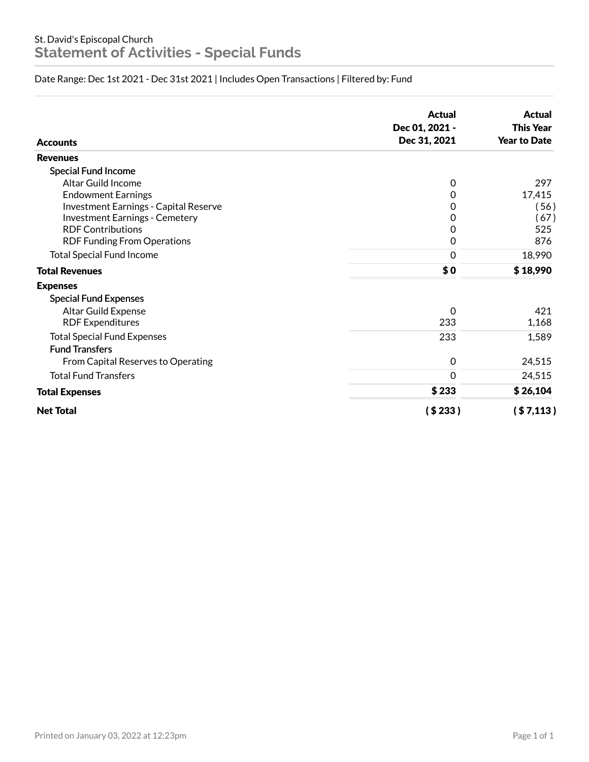# Date Range: Dec 1st 2021 - Dec 31st 2021 | Includes Open Transactions | Filtered by: Fund

| <b>Accounts</b>                              | <b>Actual</b><br>Dec 01, 2021 -<br>Dec 31, 2021 | <b>Actual</b><br><b>This Year</b><br><b>Year to Date</b> |
|----------------------------------------------|-------------------------------------------------|----------------------------------------------------------|
| <b>Revenues</b>                              |                                                 |                                                          |
| <b>Special Fund Income</b>                   |                                                 |                                                          |
| Altar Guild Income                           | 0                                               | 297                                                      |
| <b>Endowment Earnings</b>                    | 0                                               | 17,415                                                   |
| <b>Investment Earnings - Capital Reserve</b> | 0                                               | (56)                                                     |
| <b>Investment Earnings - Cemetery</b>        | 0                                               | (67)                                                     |
| <b>RDF Contributions</b>                     | 0                                               | 525                                                      |
| <b>RDF Funding From Operations</b>           | 0                                               | 876                                                      |
| <b>Total Special Fund Income</b>             | $\mathbf 0$                                     | 18,990                                                   |
| <b>Total Revenues</b>                        | \$0                                             | \$18,990                                                 |
| <b>Expenses</b>                              |                                                 |                                                          |
| <b>Special Fund Expenses</b>                 |                                                 |                                                          |
| Altar Guild Expense                          | 0                                               | 421                                                      |
| <b>RDF Expenditures</b>                      | 233                                             | 1,168                                                    |
| <b>Total Special Fund Expenses</b>           | 233                                             | 1,589                                                    |
| <b>Fund Transfers</b>                        |                                                 |                                                          |
| From Capital Reserves to Operating           | $\mathbf 0$                                     | 24,515                                                   |
| <b>Total Fund Transfers</b>                  | $\Omega$                                        | 24,515                                                   |
| <b>Total Expenses</b>                        | \$233                                           | \$26,104                                                 |
| <b>Net Total</b>                             | (\$233)                                         | ( \$7,113)                                               |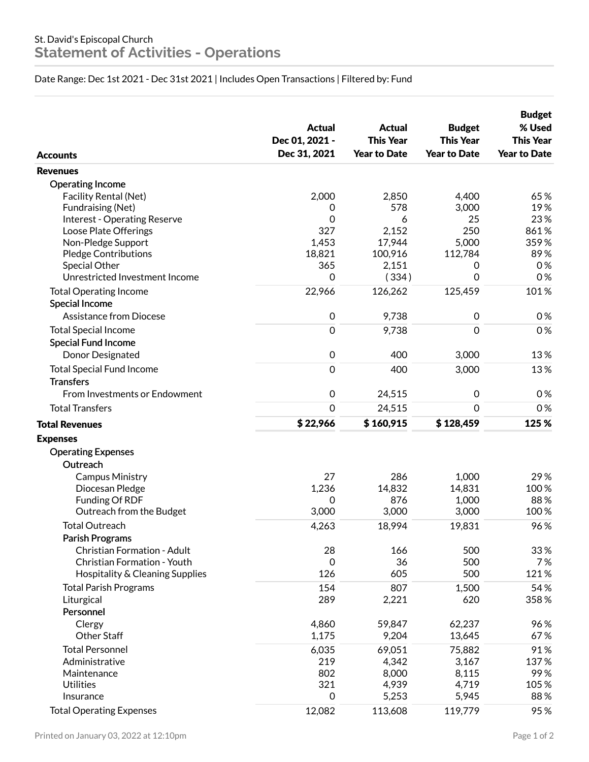Date Range: Dec 1st 2021 - Dec 31st 2021 | Includes Open Transactions | Filtered by: Fund

| <b>Accounts</b>                     | <b>Actual</b><br>Dec 01, 2021 -<br>Dec 31, 2021 | <b>Actual</b><br><b>This Year</b><br><b>Year to Date</b> | <b>Budget</b><br><b>This Year</b><br><b>Year to Date</b> | <b>Budget</b><br>% Used<br><b>This Year</b><br><b>Year to Date</b> |
|-------------------------------------|-------------------------------------------------|----------------------------------------------------------|----------------------------------------------------------|--------------------------------------------------------------------|
| <b>Revenues</b>                     |                                                 |                                                          |                                                          |                                                                    |
| <b>Operating Income</b>             |                                                 |                                                          |                                                          |                                                                    |
| <b>Facility Rental (Net)</b>        | 2,000                                           | 2,850                                                    | 4,400                                                    | 65%                                                                |
| Fundraising (Net)                   | 0                                               | 578                                                      | 3,000                                                    | 19%                                                                |
| <b>Interest - Operating Reserve</b> | $\Omega$                                        | 6                                                        | 25                                                       | 23%                                                                |
| Loose Plate Offerings               | 327                                             | 2,152                                                    | 250                                                      | 861%                                                               |
| Non-Pledge Support                  | 1,453                                           | 17,944                                                   | 5,000                                                    | 359%                                                               |
| <b>Pledge Contributions</b>         | 18,821                                          | 100,916                                                  | 112,784                                                  | 89%                                                                |
| Special Other                       | 365                                             | 2,151                                                    | 0                                                        | 0%                                                                 |
| Unrestricted Investment Income      | $\mathbf 0$                                     | (334)                                                    | 0                                                        | 0%                                                                 |
| <b>Total Operating Income</b>       | 22,966                                          | 126,262                                                  | 125,459                                                  | 101%                                                               |
| Special Income                      |                                                 |                                                          |                                                          |                                                                    |
| <b>Assistance from Diocese</b>      | $\mathbf 0$                                     | 9,738                                                    | $\boldsymbol{0}$                                         | 0%                                                                 |
| <b>Total Special Income</b>         | $\mathbf 0$                                     | 9,738                                                    | 0                                                        | 0%                                                                 |
| <b>Special Fund Income</b>          |                                                 |                                                          |                                                          |                                                                    |
| Donor Designated                    | $\mathbf 0$                                     | 400                                                      | 3,000                                                    | 13%                                                                |
| <b>Total Special Fund Income</b>    | $\mathbf 0$                                     | 400                                                      | 3,000                                                    | 13%                                                                |
| <b>Transfers</b>                    |                                                 |                                                          |                                                          |                                                                    |
| From Investments or Endowment       | $\mathbf 0$                                     | 24,515                                                   | $\boldsymbol{0}$                                         | 0%                                                                 |
| <b>Total Transfers</b>              | $\overline{0}$                                  | 24,515                                                   | 0                                                        | 0%                                                                 |
| <b>Total Revenues</b>               | \$22,966                                        | \$160,915                                                | \$128,459                                                | 125 %                                                              |
| <b>Expenses</b>                     |                                                 |                                                          |                                                          |                                                                    |
| <b>Operating Expenses</b>           |                                                 |                                                          |                                                          |                                                                    |
| Outreach                            |                                                 |                                                          |                                                          |                                                                    |
| Campus Ministry                     | 27                                              | 286                                                      | 1,000                                                    | 29%                                                                |
| Diocesan Pledge                     | 1,236                                           | 14,832                                                   | 14,831                                                   | 100%                                                               |
| Funding Of RDF                      | 0                                               | 876                                                      | 1,000                                                    | 88%                                                                |
| Outreach from the Budget            | 3,000                                           | 3,000                                                    | 3,000                                                    | 100%                                                               |
| <b>Total Outreach</b>               | 4,263                                           | 18,994                                                   | 19,831                                                   | 96%                                                                |
| Parish Programs                     |                                                 |                                                          |                                                          |                                                                    |
| <b>Christian Formation - Adult</b>  | 28                                              | 166                                                      | 500                                                      | 33%                                                                |
| Christian Formation - Youth         | $\mathbf 0$                                     | 36                                                       | 500                                                      | 7%                                                                 |
| Hospitality & Cleaning Supplies     | 126                                             | 605                                                      | 500                                                      | 121%                                                               |
| <b>Total Parish Programs</b>        | 154                                             | 807                                                      | 1,500                                                    | 54%                                                                |
| Liturgical                          | 289                                             | 2,221                                                    | 620                                                      | 358%                                                               |
| Personnel                           |                                                 |                                                          |                                                          |                                                                    |
| Clergy                              | 4,860                                           | 59,847                                                   | 62,237                                                   | 96%                                                                |
| <b>Other Staff</b>                  | 1,175                                           | 9,204                                                    | 13,645                                                   | 67%                                                                |
| <b>Total Personnel</b>              | 6,035                                           | 69,051                                                   | 75,882                                                   | 91%                                                                |
| Administrative                      | 219                                             | 4,342                                                    | 3,167                                                    | 137%                                                               |
| Maintenance                         | 802                                             | 8,000                                                    | 8,115                                                    | 99%                                                                |
| <b>Utilities</b>                    | 321                                             | 4,939                                                    | 4,719                                                    | 105%                                                               |
| Insurance                           | $\boldsymbol{0}$                                | 5,253                                                    | 5,945                                                    | 88%                                                                |
| <b>Total Operating Expenses</b>     | 12,082                                          | 113,608                                                  | 119,779                                                  | 95%                                                                |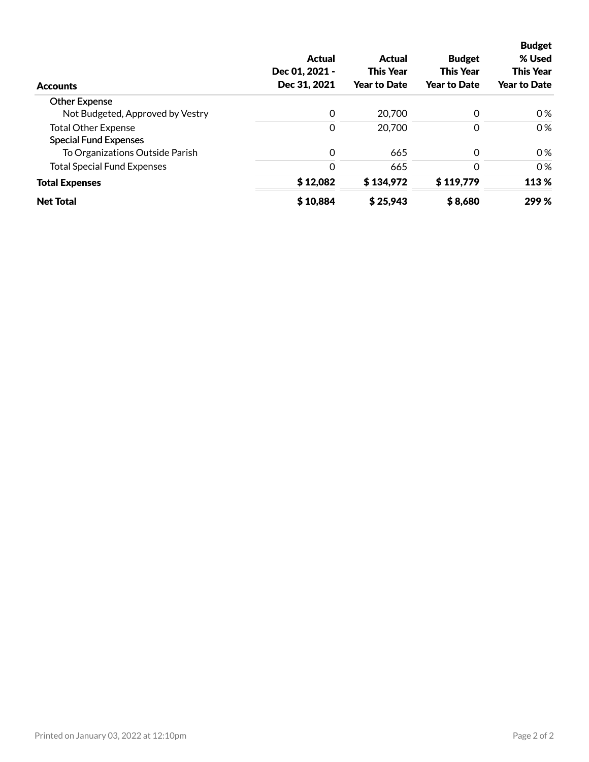| <b>Accounts</b>                    | Actual<br>Dec 01, 2021 -<br>Dec 31, 2021 | Actual<br><b>This Year</b><br><b>Year to Date</b> | <b>Budget</b><br><b>This Year</b><br><b>Year to Date</b> | <b>Budget</b><br>% Used<br><b>This Year</b><br><b>Year to Date</b> |
|------------------------------------|------------------------------------------|---------------------------------------------------|----------------------------------------------------------|--------------------------------------------------------------------|
| <b>Other Expense</b>               |                                          |                                                   |                                                          |                                                                    |
| Not Budgeted, Approved by Vestry   | $\Omega$                                 | 20,700                                            | 0                                                        | 0%                                                                 |
| <b>Total Other Expense</b>         | 0                                        | 20,700                                            | 0                                                        | 0%                                                                 |
| <b>Special Fund Expenses</b>       |                                          |                                                   |                                                          |                                                                    |
| To Organizations Outside Parish    | 0                                        | 665                                               | 0                                                        | 0%                                                                 |
| <b>Total Special Fund Expenses</b> | $\Omega$                                 | 665                                               | $\Omega$                                                 | 0%                                                                 |
| <b>Total Expenses</b>              | \$12,082                                 | \$134,972                                         | \$119,779                                                | 113 %                                                              |
| <b>Net Total</b>                   | \$10,884                                 | \$25,943                                          | \$8,680                                                  | 299 %                                                              |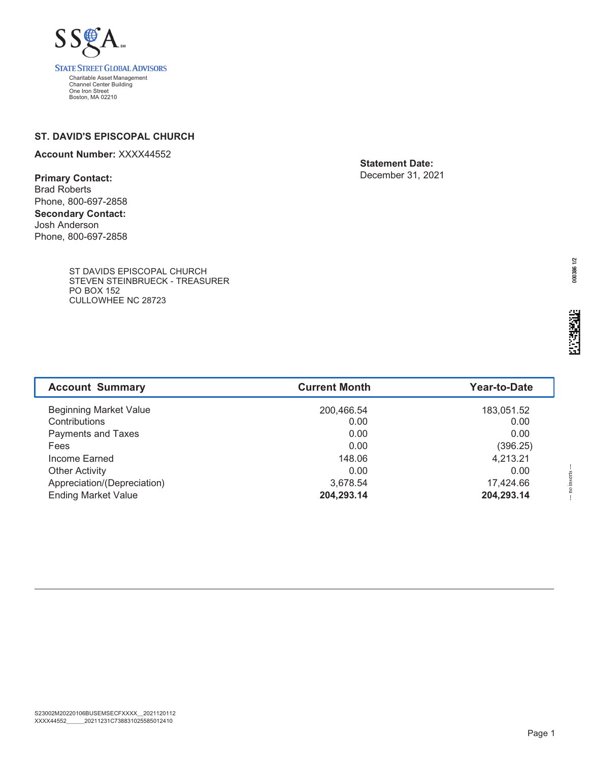

### **ST. DAVID'S EPISCOPAL CHURCH**

#### **Account Number:** XXXX44552

**Primary Contact:** Brad Roberts

Phone, 800-697-2858 **Secondary Contact:** Josh Anderson Phone, 800-697-2858

> ST DAVIDS EPISCOPAL CHURCH STEVEN STEINBRUECK - TREASURER PO BOX 152 CULLOWHEE NC 28723

**Statement Date:** December 31, 2021

--- no inserts ---

-- no inserts

| <b>Beginning Market Value</b> | 200,466.54 | 183,051.52 |
|-------------------------------|------------|------------|
| Contributions                 | 0.00       | 0.00       |
| Payments and Taxes            | 0.00       | 0.00       |
| Fees                          | 0.00       | (396.25)   |
| Income Earned                 | 148.06     | 4,213.21   |
| <b>Other Activity</b>         | 0.00       | 0.00       |
| Appreciation/(Depreciation)   | 3,678.54   | 17,424.66  |
| <b>Ending Market Value</b>    | 204,293.14 | 204,293.14 |
|                               |            |            |
|                               |            |            |

Account Summary **Current Month Year-to-Date**